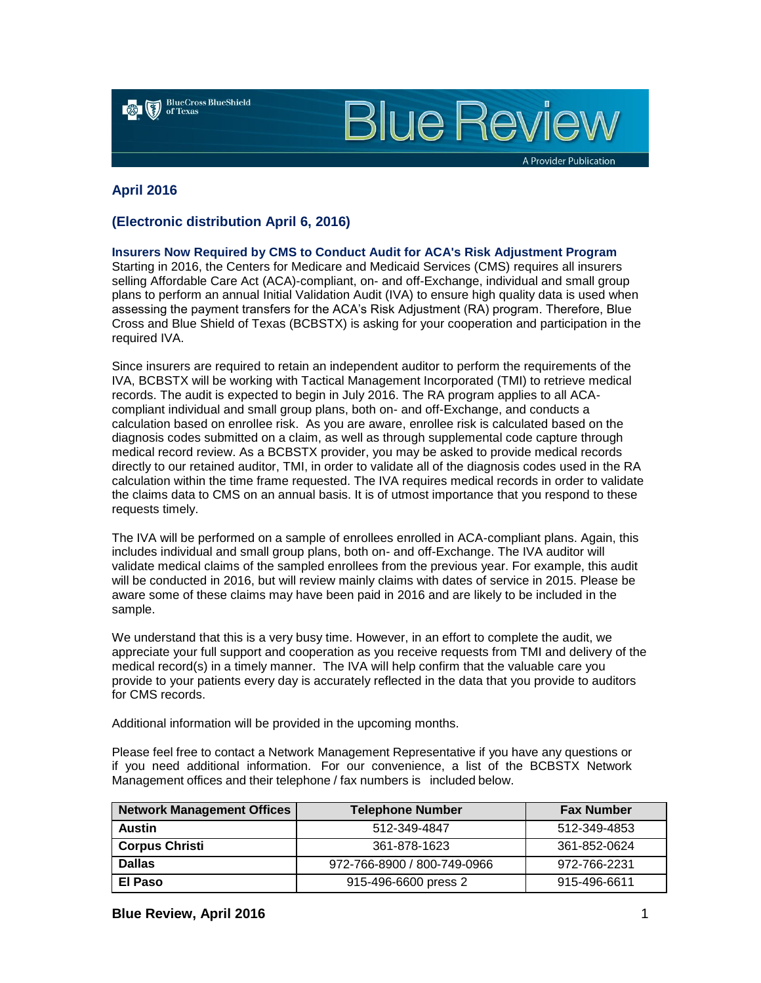

**Blue Review** 

A Provider Publication

# **April 2016**

# **(Electronic distribution April 6, 2016)**

**Insurers Now Required by CMS to Conduct Audit for ACA's Risk Adjustment Program** Starting in 2016, the Centers for Medicare and Medicaid Services (CMS) requires all insurers selling Affordable Care Act (ACA)-compliant, on- and off-Exchange, individual and small group plans to perform an annual Initial Validation Audit (IVA) to ensure high quality data is used when assessing the payment transfers for the ACA's Risk Adjustment (RA) program. Therefore, Blue Cross and Blue Shield of Texas (BCBSTX) is asking for your cooperation and participation in the required IVA.

Since insurers are required to retain an independent auditor to perform the requirements of the IVA, BCBSTX will be working with Tactical Management Incorporated (TMI) to retrieve medical records. The audit is expected to begin in July 2016. The RA program applies to all ACAcompliant individual and small group plans, both on- and off-Exchange, and conducts a calculation based on enrollee risk. As you are aware, enrollee risk is calculated based on the diagnosis codes submitted on a claim, as well as through supplemental code capture through medical record review. As a BCBSTX provider, you may be asked to provide medical records directly to our retained auditor, TMI, in order to validate all of the diagnosis codes used in the RA calculation within the time frame requested. The IVA requires medical records in order to validate the claims data to CMS on an annual basis. It is of utmost importance that you respond to these requests timely.

The IVA will be performed on a sample of enrollees enrolled in ACA-compliant plans. Again, this includes individual and small group plans, both on- and off-Exchange. The IVA auditor will validate medical claims of the sampled enrollees from the previous year. For example, this audit will be conducted in 2016, but will review mainly claims with dates of service in 2015. Please be aware some of these claims may have been paid in 2016 and are likely to be included in the sample.

We understand that this is a very busy time. However, in an effort to complete the audit, we appreciate your full support and cooperation as you receive requests from TMI and delivery of the medical record(s) in a timely manner. The IVA will help confirm that the valuable care you provide to your patients every day is accurately reflected in the data that you provide to auditors for CMS records.

Additional information will be provided in the upcoming months.

Please feel free to contact a Network Management Representative if you have any questions or if you need additional information. For our convenience, a list of the BCBSTX Network Management offices and their telephone / fax numbers is included below.

| <b>Network Management Offices</b> | <b>Telephone Number</b>     | <b>Fax Number</b> |
|-----------------------------------|-----------------------------|-------------------|
| <b>Austin</b>                     | 512-349-4847                | 512-349-4853      |
| <b>Corpus Christi</b>             | 361-878-1623                | 361-852-0624      |
| <b>Dallas</b>                     | 972-766-8900 / 800-749-0966 | 972-766-2231      |
| El Paso                           | 915-496-6600 press 2        | 915-496-6611      |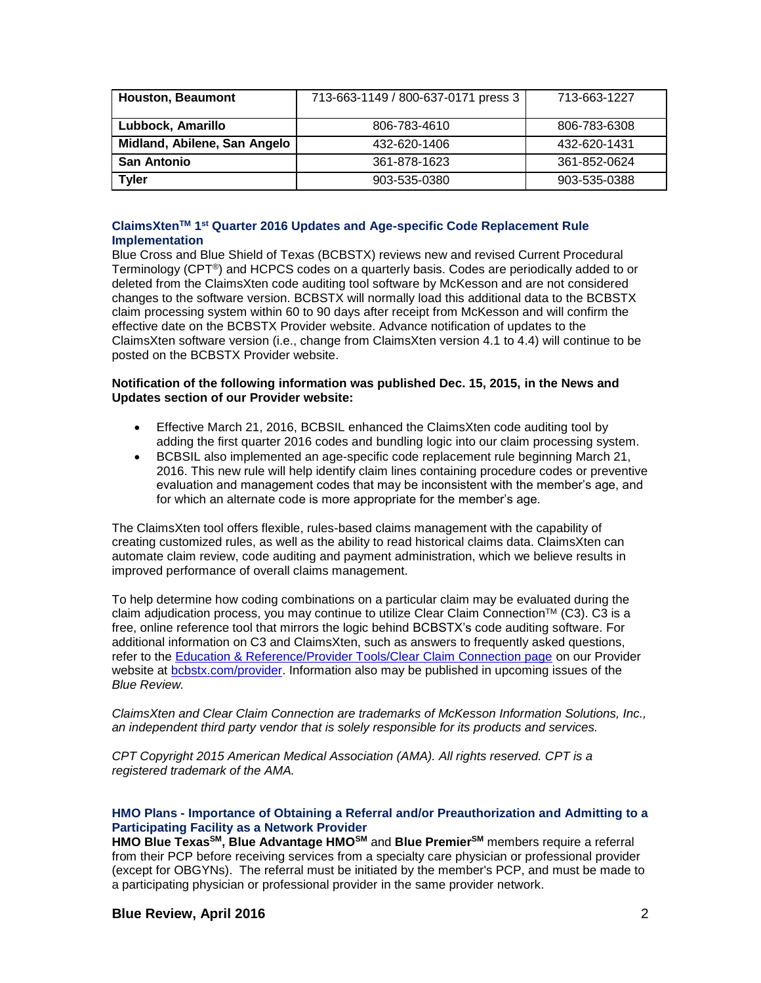| <b>Houston, Beaumont</b>     | 713-663-1149 / 800-637-0171 press 3 | 713-663-1227 |
|------------------------------|-------------------------------------|--------------|
| Lubbock, Amarillo            | 806-783-4610                        | 806-783-6308 |
| Midland, Abilene, San Angelo | 432-620-1406                        | 432-620-1431 |
| <b>San Antonio</b>           | 361-878-1623                        | 361-852-0624 |
| <b>Tyler</b>                 | 903-535-0380                        | 903-535-0388 |

## **ClaimsXtenTM 1 st Quarter 2016 Updates and Age-specific Code Replacement Rule Implementation**

Blue Cross and Blue Shield of Texas (BCBSTX) reviews new and revised Current Procedural Terminology (CPT®) and HCPCS codes on a quarterly basis. Codes are periodically added to or deleted from the ClaimsXten code auditing tool software by McKesson and are not considered changes to the software version. BCBSTX will normally load this additional data to the BCBSTX claim processing system within 60 to 90 days after receipt from McKesson and will confirm the effective date on the BCBSTX Provider website. Advance notification of updates to the ClaimsXten software version (i.e., change from ClaimsXten version 4.1 to 4.4) will continue to be posted on the BCBSTX Provider website.

## **Notification of the following information was published Dec. 15, 2015, in the News and Updates section of our Provider website:**

- Effective March 21, 2016, BCBSIL enhanced the ClaimsXten code auditing tool by adding the first quarter 2016 codes and bundling logic into our claim processing system.
- BCBSIL also implemented an age-specific code replacement rule beginning March 21, 2016. This new rule will help identify claim lines containing procedure codes or preventive evaluation and management codes that may be inconsistent with the member's age, and for which an alternate code is more appropriate for the member's age.

The ClaimsXten tool offers flexible, rules-based claims management with the capability of creating customized rules, as well as the ability to read historical claims data. ClaimsXten can automate claim review, code auditing and payment administration, which we believe results in improved performance of overall claims management.

To help determine how coding combinations on a particular claim may be evaluated during the claim adjudication process, you may continue to utilize Clear Claim Connection™ (C3). C3 is a free, online reference tool that mirrors the logic behind BCBSTX's code auditing software. For additional information on C3 and ClaimsXten, such as answers to frequently asked questions, refer to the [Education & Reference/Provider Tools/Clear Claim Connection page](http://www.bcbstx.com/provider/tools/clear_claim_connection.html) on our Provider website at [bcbstx.com/provider](https://www.bcbstx.com/provider/). Information also may be published in upcoming issues of the *Blue Review.*

*ClaimsXten and Clear Claim Connection are trademarks of McKesson Information Solutions, Inc., an independent third party vendor that is solely responsible for its products and services.*

*CPT Copyright 2015 American Medical Association (AMA). All rights reserved. CPT is a registered trademark of the AMA.*

## **HMO Plans - Importance of Obtaining a Referral and/or Preauthorization and Admitting to a Participating Facility as a Network Provider**

**HMO Blue TexasSM, Blue Advantage HMOSM** and **Blue PremierSM** members require a referral from their PCP before receiving services from a specialty care physician or professional provider (except for OBGYNs). The referral must be initiated by the member's PCP, and must be made to a participating physician or professional provider in the same provider network.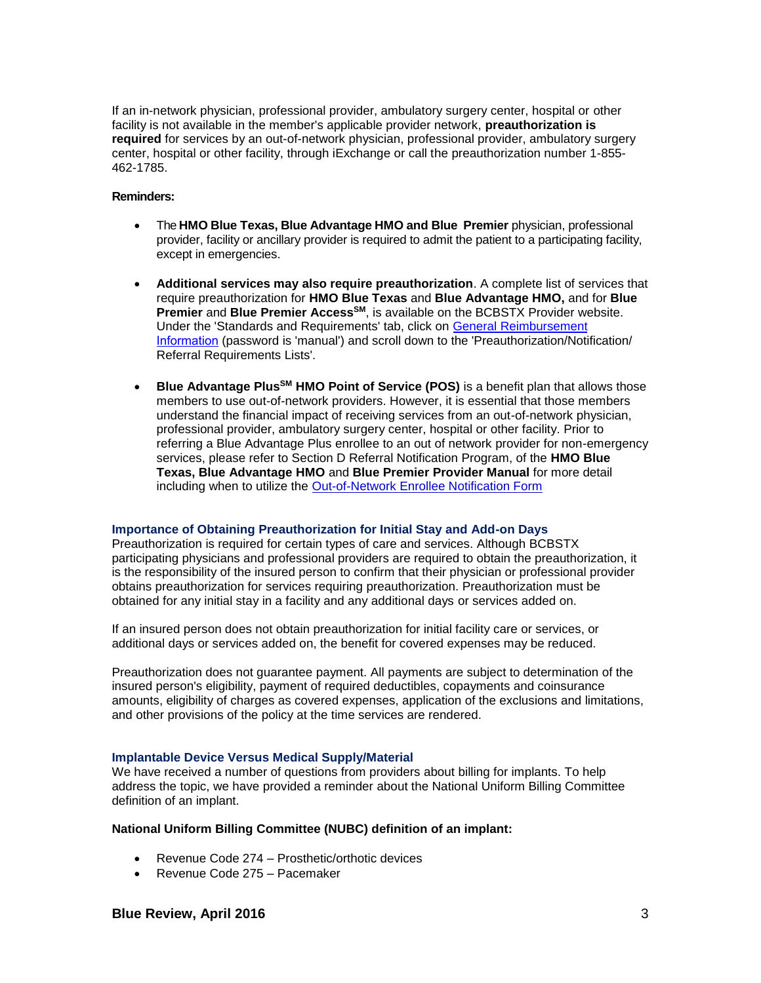If an in-network physician, professional provider, ambulatory surgery center, hospital or other facility is not available in the member's applicable provider network, **preauthorization is required** for services by an out-of-network physician, professional provider, ambulatory surgery center, hospital or other facility, through iExchange or call the preauthorization number 1-855- 462-1785.

## **Reminders:**

- The **HMO Blue Texas, Blue Advantage HMO and Blue Premier** physician, professional provider, facility or ancillary provider is required to admit the patient to a participating facility, except in emergencies.
- **Additional services may also require preauthorization**. A complete list of services that require preauthorization for **HMO Blue Texas** and **Blue Advantage HMO,** and for **Blue Premier** and **Blue Premier AccessSM**, is available on the BCBSTX Provider website. Under the 'Standards and Requirements' tab, click on [General Reimbursement](http://www.bcbstx.com/provider/gri/gri.html) [Information](https://www.bcbstx.com/provider/gri/gri.html) (password is 'manual') and scroll down to the 'Preauthorization/Notification/ Referral Requirements Lists'.
- **Blue Advantage PlusSM HMO Point of Service (POS)** is a benefit plan that allows those members to use out-of-network providers. However, it is essential that those members understand the financial impact of receiving services from an out-of-network physician, professional provider, ambulatory surgery center, hospital or other facility. Prior to referring a Blue Advantage Plus enrollee to an out of network provider for non-emergency services, please refer to Section D Referral Notification Program, of the **HMO Blue Texas, Blue Advantage HMO** and **Blue Premier Provider Manual** for more detail including when to utilize the [Out-of-Network Enrollee Notification Form](http://www.bcbstx.com/provider/pdf/out-of-network-care-enrollee-notification-form.pdf)

#### **Importance of Obtaining Preauthorization for Initial Stay and Add-on Days**

Preauthorization is required for certain types of care and services. Although BCBSTX participating physicians and professional providers are required to obtain the preauthorization, it is the responsibility of the insured person to confirm that their physician or professional provider obtains preauthorization for services requiring preauthorization. Preauthorization must be obtained for any initial stay in a facility and any additional days or services added on.

If an insured person does not obtain preauthorization for initial facility care or services, or additional days or services added on, the benefit for covered expenses may be reduced.

Preauthorization does not guarantee payment. All payments are subject to determination of the insured person's eligibility, payment of required deductibles, copayments and coinsurance amounts, eligibility of charges as covered expenses, application of the exclusions and limitations, and other provisions of the policy at the time services are rendered.

## **Implantable Device Versus Medical Supply/Material**

We have received a number of questions from providers about billing for implants. To help address the topic, we have provided a reminder about the National Uniform Billing Committee definition of an implant.

## **National Uniform Billing Committee (NUBC) definition of an implant:**

- Revenue Code 274 Prosthetic/orthotic devices
- Revenue Code 275 Pacemaker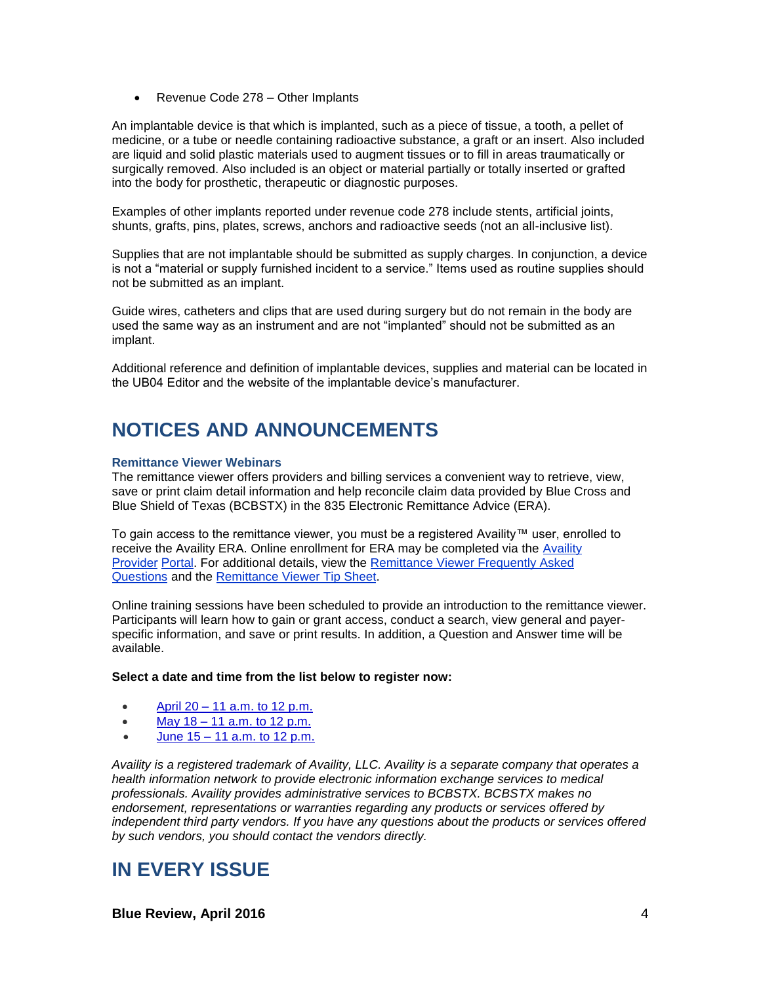• Revenue Code 278 – Other Implants

An implantable device is that which is implanted, such as a piece of tissue, a tooth, a pellet of medicine, or a tube or needle containing radioactive substance, a graft or an insert. Also included are liquid and solid plastic materials used to augment tissues or to fill in areas traumatically or surgically removed. Also included is an object or material partially or totally inserted or grafted into the body for prosthetic, therapeutic or diagnostic purposes.

Examples of other implants reported under revenue code 278 include stents, artificial joints, shunts, grafts, pins, plates, screws, anchors and radioactive seeds (not an all-inclusive list).

Supplies that are not implantable should be submitted as supply charges. In conjunction, a device is not a "material or supply furnished incident to a service." Items used as routine supplies should not be submitted as an implant.

Guide wires, catheters and clips that are used during surgery but do not remain in the body are used the same way as an instrument and are not "implanted" should not be submitted as an implant.

Additional reference and definition of implantable devices, supplies and material can be located in the UB04 Editor and the website of the implantable device's manufacturer.

# **NOTICES AND ANNOUNCEMENTS**

## **Remittance Viewer Webinars**

The remittance viewer offers providers and billing services a convenient way to retrieve, view, save or print claim detail information and help reconcile claim data provided by Blue Cross and Blue Shield of Texas (BCBSTX) in the 835 Electronic Remittance Advice (ERA).

To gain access to the remittance viewer, you must be a registered Availity™ user, enrolled to receive the Availity ERA. Online enrollment for ERA may be completed via the [Availity](http://www.availity.com/)  [Provid](http://www.availity.com/)er Portal. For additional details[, view the Remittance Viewer Frequently Asked](http://www.bcbstx.com/provider/pdf/remittance_viewer_faqs.pdf) Questions and the [Remittance Viewer Tip Sheet.](http://www.bcbstx.com/provider/pdf/remittance_viewer_tip_sheet.pdf) 

Online training sessions have been scheduled to provide an introduction to the remittance viewer. Participants will learn how to gain or grant access, conduct a search, view general and payerspecific information, and save or print results. In addition, a Question and Answer time will be available.

## **Select a date and time from the list below to register now:**

- April  $20 11$  a.m. to 12 p.m.
- May  $18 11$  a.m. to  $12$  p.m.
- June 15 [11 a.m. to 12 p.m.](https://hcsc.webex.com/hcsc/j.php?RGID=re76b88f7a4bf5cdba6a540fc49c4b1a8)

*Availity is a registered trademark of Availity, LLC. Availity is a separate company that operates a health information network to provide electronic information exchange services to medical professionals. Availity provides administrative services to BCBSTX. BCBSTX makes no endorsement, representations or warranties regarding any products or services offered by independent third party vendors. If you have any questions about the products or services offered by such vendors, you should contact the vendors directly.*

# **IN EVERY ISSUE**

**Blue Review, April 2016** 4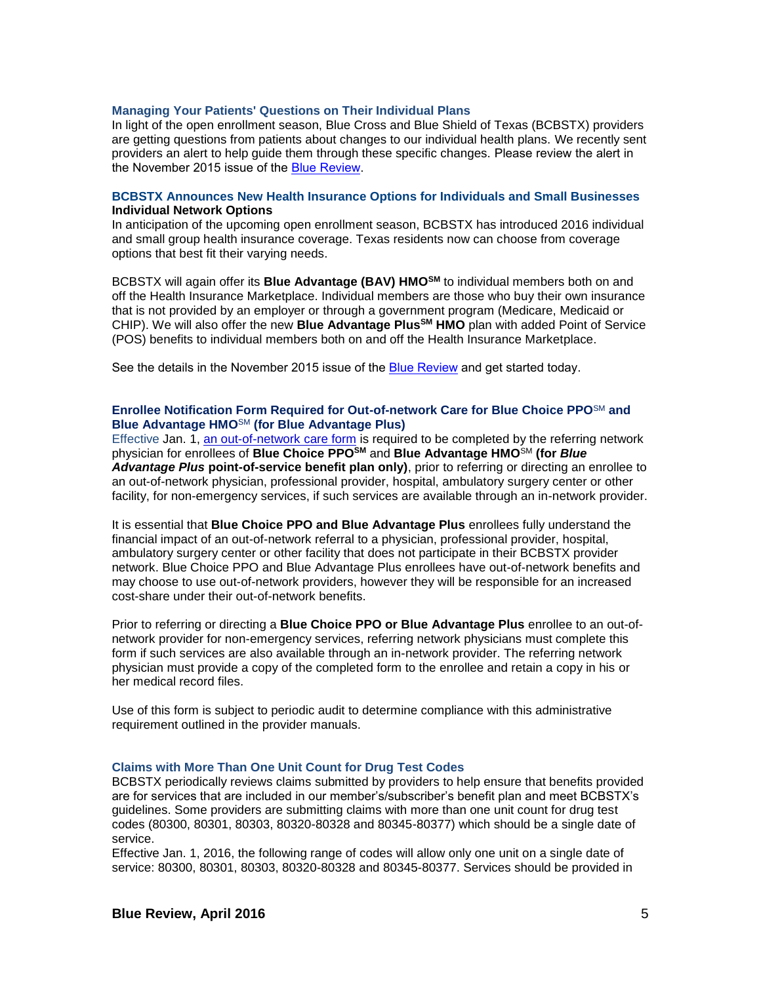#### **Managing Your Patients' Questions on Their Individual Plans**

In light of the open enrollment season, Blue Cross and Blue Shield of Texas (BCBSTX) providers are getting questions from patients about changes to our individual health plans. We recently sent providers an alert to help guide them through these specific changes. Please review the alert in the November 2015 issue of the [Blue Review](https://www.bcbstx.com/provider/news/bluereview.html).

#### **BCBSTX Announces New Health Insurance Options for Individuals and Small Businesses Individual Network Options**

In anticipation of the upcoming open enrollment season, BCBSTX has introduced 2016 individual and small group health insurance coverage. Texas residents now can choose from coverage options that best fit their varying needs.

BCBSTX will again offer its **Blue Advantage (BAV) HMOSM** to individual members both on and off the Health Insurance Marketplace. Individual members are those who buy their own insurance that is not provided by an employer or through a government program (Medicare, Medicaid or CHIP). We will also offer the new **Blue Advantage PlusSM HMO** plan with added Point of Service (POS) benefits to individual members both on and off the Health Insurance Marketplace.

See the details in the November 2015 issue of the **Blue Review** and get started today.

## **Enrollee Notification Form Required for Out-of-network Care for Blue Choice PPO**SM **and Blue Advantage HMO**SM **(for Blue Advantage Plus)**

Effective Jan. 1, [an out-of-network care form](http://www.bcbstx.com/provider/pdf/out-of-network-care-enrollee-notification-form.pdf) is required to be completed by the referring network physician for enrollees of **Blue Choice PPOSM** and **Blue Advantage HMO**SM **(for** *Blue Advantage Plus* **point-of-service benefit plan only)**, prior to referring or directing an enrollee to an out-of-network physician, professional provider, hospital, ambulatory surgery center or other facility, for non-emergency services, if such services are available through an in-network provider.

It is essential that **Blue Choice PPO and Blue Advantage Plus** enrollees fully understand the financial impact of an out-of-network referral to a physician, professional provider, hospital, ambulatory surgery center or other facility that does not participate in their BCBSTX provider network. Blue Choice PPO and Blue Advantage Plus enrollees have out-of-network benefits and may choose to use out-of-network providers, however they will be responsible for an increased cost-share under their out-of-network benefits.

Prior to referring or directing a **Blue Choice PPO or Blue Advantage Plus** enrollee to an out-ofnetwork provider for non-emergency services, referring network physicians must complete this form if such services are also available through an in-network provider. The referring network physician must provide a copy of the completed form to the enrollee and retain a copy in his or her medical record files.

Use of this form is subject to periodic audit to determine compliance with this administrative requirement outlined in the provider manuals.

#### **Claims with More Than One Unit Count for Drug Test Codes**

BCBSTX periodically reviews claims submitted by providers to help ensure that benefits provided are for services that are included in our member's/subscriber's benefit plan and meet BCBSTX's guidelines. Some providers are submitting claims with more than one unit count for drug test codes (80300, 80301, 80303, 80320-80328 and 80345-80377) which should be a single date of service.

Effective Jan. 1, 2016, the following range of codes will allow only one unit on a single date of service: 80300, 80301, 80303, 80320-80328 and 80345-80377. Services should be provided in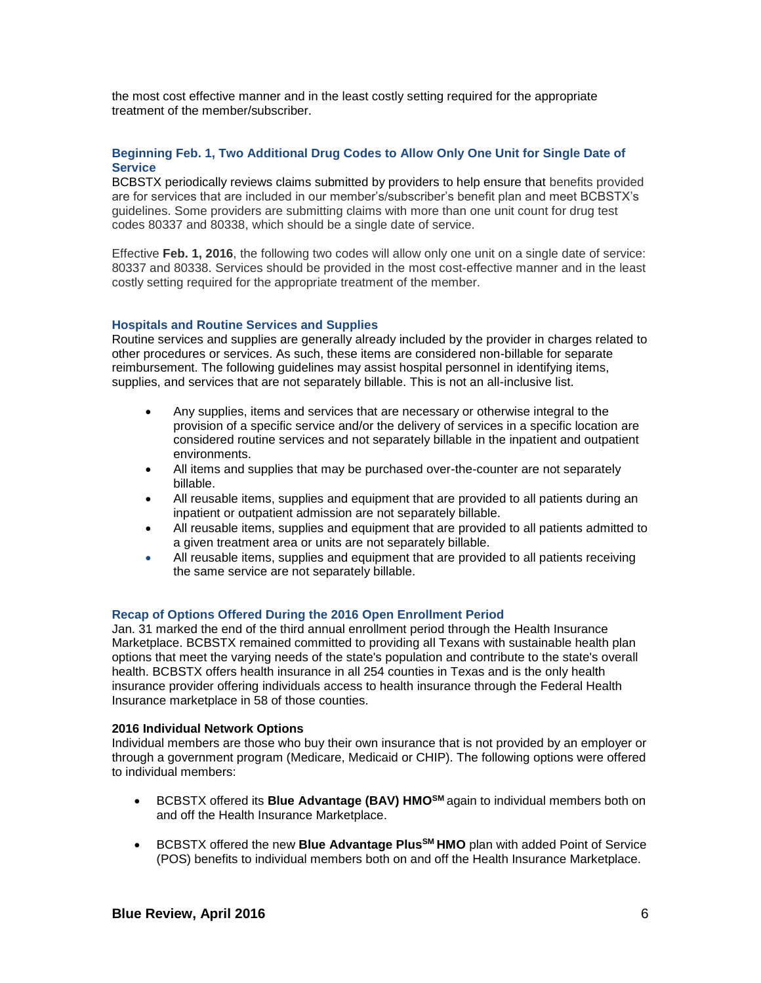the most cost effective manner and in the least costly setting required for the appropriate treatment of the member/subscriber.

## **Beginning Feb. 1, Two Additional Drug Codes to Allow Only One Unit for Single Date of Service**

BCBSTX periodically reviews claims submitted by providers to help ensure that benefits provided are for services that are included in our member's/subscriber's benefit plan and meet BCBSTX's guidelines. Some providers are submitting claims with more than one unit count for drug test codes 80337 and 80338, which should be a single date of service.

Effective **Feb. 1, 2016**, the following two codes will allow only one unit on a single date of service: 80337 and 80338. Services should be provided in the most cost-effective manner and in the least costly setting required for the appropriate treatment of the member.

#### **Hospitals and Routine Services and Supplies**

Routine services and supplies are generally already included by the provider in charges related to other procedures or services. As such, these items are considered non-billable for separate reimbursement. The following guidelines may assist hospital personnel in identifying items, supplies, and services that are not separately billable. This is not an all-inclusive list.

- Any supplies, items and services that are necessary or otherwise integral to the provision of a specific service and/or the delivery of services in a specific location are considered routine services and not separately billable in the inpatient and outpatient environments.
- All items and supplies that may be purchased over-the-counter are not separately billable.
- All reusable items, supplies and equipment that are provided to all patients during an inpatient or outpatient admission are not separately billable.
- All reusable items, supplies and equipment that are provided to all patients admitted to a given treatment area or units are not separately billable.
- All reusable items, supplies and equipment that are provided to all patients receiving the same service are not separately billable.

## **Recap of Options Offered During the 2016 Open Enrollment Period**

Jan. 31 marked the end of the third annual enrollment period through the Health Insurance Marketplace. BCBSTX remained committed to providing all Texans with sustainable health plan options that meet the varying needs of the state's population and contribute to the state's overall health. BCBSTX offers health insurance in all 254 counties in Texas and is the only health insurance provider offering individuals access to health insurance through the Federal Health Insurance marketplace in 58 of those counties.

#### **2016 Individual Network Options**

Individual members are those who buy their own insurance that is not provided by an employer or through a government program (Medicare, Medicaid or CHIP). The following options were offered to individual members:

- BCBSTX offered its **Blue Advantage (BAV) HMOSM** again to individual members both on and off the Health Insurance Marketplace.
- BCBSTX offered the new **Blue Advantage PlusSM HMO** plan with added Point of Service (POS) benefits to individual members both on and off the Health Insurance Marketplace.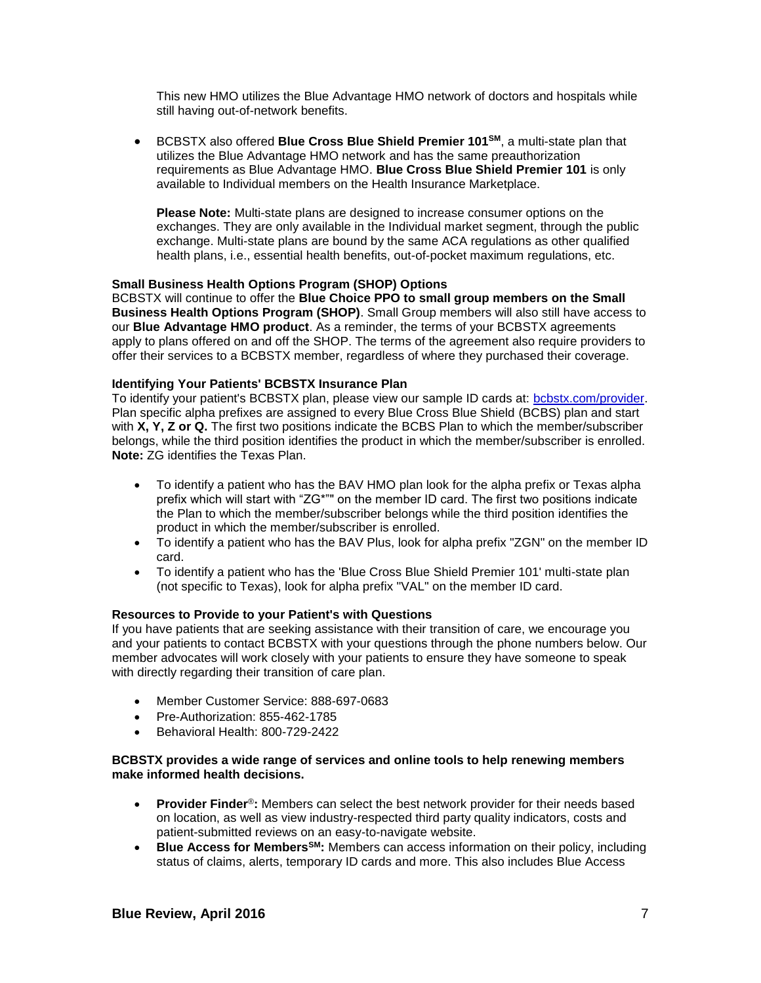This new HMO utilizes the Blue Advantage HMO network of doctors and hospitals while still having out-of-network benefits.

 BCBSTX also offered **Blue Cross Blue Shield Premier 101SM**, a multi-state plan that utilizes the Blue Advantage HMO network and has the same preauthorization requirements as Blue Advantage HMO. **[Blue Cross Blue Shield Premier 101](http://www.bcbstx.com/provider/pdf/hmo_bav_referral_list.pdf)** is only [available to Individual members on the Health Insurance Marketplace.](http://www.bcbstx.com/provider/pdf/hmo_bav_referral_list.pdf)

**Please Note:** [Multi-state plans are designed to increase consumer options on the](http://www.bcbstx.com/provider/pdf/hmo_bav_referral_list.pdf) [exchanges. They are only available in the Individual market segment, through the public](http://www.bcbstx.com/provider/pdf/hmo_bav_referral_list.pdf) [exchange. Multi-state plans are bound by the same ACA regulations as other qualified](http://www.bcbstx.com/provider/pdf/hmo_bav_referral_list.pdf) [health plans, i.e., essential health benefits, out-of-pocket maximum regulations, etc.](http://www.bcbstx.com/provider/pdf/hmo_bav_referral_list.pdf)

## **Small Business Health Options Program (SHOP) Options**

BCBSTX will continue to offer the **Blue Choice PPO to small group members on the Small Business Health Options Program (SHOP)**. Small Group members will also still have access to our **Blue Advantage HMO product**. As a reminder, the terms of your BCBSTX agreements apply to plans offered on and off the SHOP. The terms of the agreement also require providers to offer their services to a BCBSTX member, regardless of where they purchased their coverage.

## **Identifying Your Patients' BCBSTX Insurance Plan**

To identify your patient's BCBSTX plan, please view our sample ID cards at: [bcbstx.com/provider.](http://www.bcbstx.com/provider/training/id_card_samples.html) Plan specific alpha prefixes are assigned to every Blue Cross Blue Shield (BCBS) plan and start with **X, Y, Z or Q.** The first two positions indicate the BCBS Plan to which the member/subscriber belongs, while the third position identifies the product in which the member/subscriber is enrolled. **Note:** ZG identifies the Texas Plan.

- To identify a patient who has the BAV HMO plan look for the alpha prefix or Texas alpha prefix which will start with "ZG\*"" on the member ID card. The first two positions indicate the Plan to which the member/subscriber belongs while the third position identifies the product in which the member/subscriber is enrolled.
- To identify a patient who has the BAV Plus, look for alpha prefix "ZGN" on the member ID card.
- To identify a patient who has the 'Blue Cross Blue Shield Premier 101' multi-state plan (not specific to Texas), look for alpha prefix "VAL" on the member ID card.

# **Resources to Provide to your Patient's with Questions**

If you have patients that are seeking assistance with their transition of care, we encourage you and your patients to contact BCBSTX with your questions through the phone numbers below. Our member advocates will work closely with your patients to ensure they have someone to speak with directly regarding their transition of care plan.

- Member Customer Service: 888-697-0683
- Pre-Authorization: 855-462-1785
- Behavioral Health: 800-729-2422

## **BCBSTX provides a wide range of services and online tools to help renewing members make informed health decisions.**

- **Provider Finder**®**:** Members can select the best network provider for their needs based on location, as well as view industry-respected third party quality indicators, costs and patient-submitted reviews on an easy-to-navigate website.
- **Blue Access for MembersSM:** Members can access information on their policy, including status of claims, alerts, temporary ID cards and more. This also includes Blue Access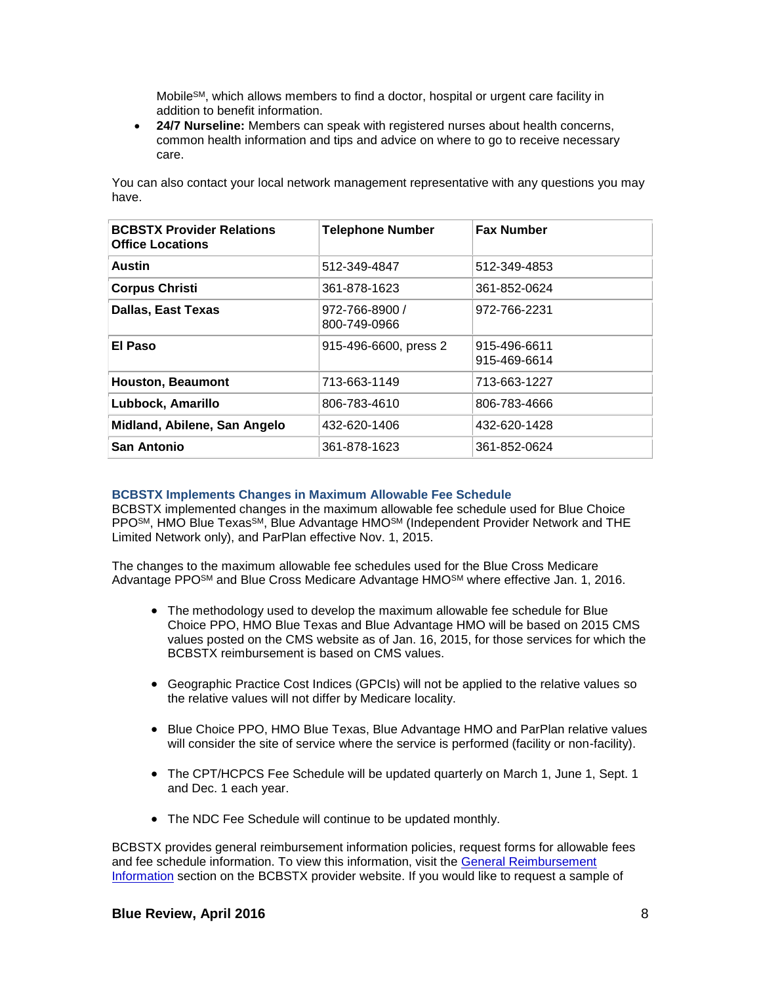Mobile<sup>SM</sup>, which allows members to find a doctor, hospital or urgent care facility in addition to benefit information.

 **24/7 Nurseline:** Members can speak with registered nurses about health concerns, common health information and tips and advice on where to go to receive necessary care.

You can also contact your local network management representative with any questions you may have.

| <b>BCBSTX Provider Relations</b><br><b>Office Locations</b> | <b>Telephone Number</b>        | <b>Fax Number</b>            |
|-------------------------------------------------------------|--------------------------------|------------------------------|
| Austin                                                      | 512-349-4847                   | 512-349-4853                 |
| <b>Corpus Christi</b>                                       | 361-878-1623                   | 361-852-0624                 |
| <b>Dallas, East Texas</b>                                   | 972-766-8900 /<br>800-749-0966 | 972-766-2231                 |
| El Paso                                                     | 915-496-6600, press 2          | 915-496-6611<br>915-469-6614 |
| <b>Houston, Beaumont</b>                                    | 713-663-1149                   | 713-663-1227                 |
| Lubbock, Amarillo                                           | 806-783-4610                   | 806-783-4666                 |
| Midland, Abilene, San Angelo                                | 432-620-1406                   | 432-620-1428                 |
| <b>San Antonio</b>                                          | 361-878-1623                   | 361-852-0624                 |

## **BCBSTX Implements Changes in Maximum Allowable Fee Schedule**

BCBSTX implemented changes in the maximum allowable fee schedule used for Blue Choice PPOSM, HMO Blue TexasSM, Blue Advantage HMOSM (Independent Provider Network and THE Limited Network only), and ParPlan effective Nov. 1, 2015.

The changes to the maximum allowable fee schedules used for the Blue Cross Medicare Advantage PPO<sup>SM</sup> and Blue Cross Medicare Advantage HMO<sup>SM</sup> where effective Jan. 1, 2016.

- The methodology used to develop the maximum allowable fee schedule for Blue Choice PPO, HMO Blue Texas and Blue Advantage HMO will be based on 2015 CMS values posted on the CMS website as of Jan. 16, 2015, for those services for which the BCBSTX reimbursement is based on CMS values.
- Geographic Practice Cost Indices (GPCIs) will not be applied to the relative values so the relative values will not differ by Medicare locality.
- Blue Choice PPO, HMO Blue Texas, Blue Advantage HMO and ParPlan relative values will consider the site of service where the service is performed (facility or non-facility).
- The CPT/HCPCS Fee Schedule will be updated quarterly on March 1, June 1, Sept. 1 and Dec. 1 each year.
- The NDC Fee Schedule will continue to be updated monthly.

BCBSTX provides general reimbursement information policies, request forms for allowable fees and fee schedule information. To view this information, visit the [General Reimbursement](http://www.bcbstx.com/provider/gri/index.html)  [Information](http://www.bcbstx.com/provider/gri/index.html) section on the BCBSTX provider website. If you would like to request a sample of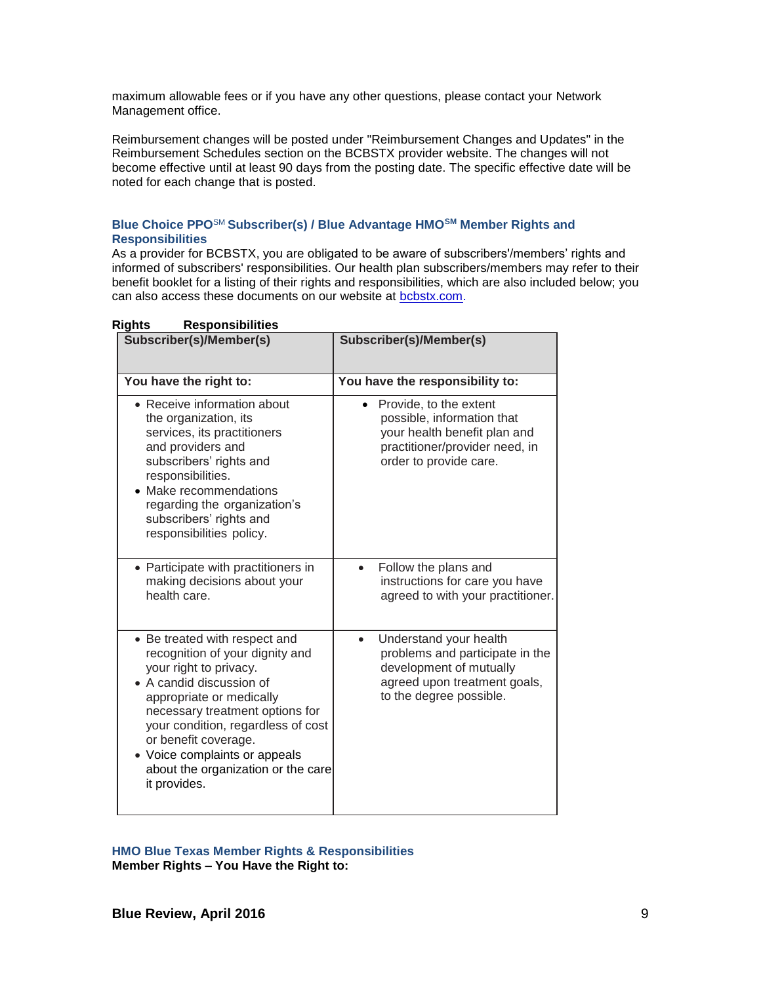maximum allowable fees or if you have any other questions, please contact your Network Management office.

Reimbursement changes will be posted under "Reimbursement Changes and Updates" in the Reimbursement Schedules section on the BCBSTX provider website. The changes will not become effective until at least 90 days from the posting date. The specific effective date will be noted for each change that is posted.

## **Blue Choice PPO**SM **Subscriber(s) / Blue Advantage HMOSM Member Rights and Responsibilities**

As a provider for BCBSTX, you are obligated to be aware of subscribers'/members' rights and informed of subscribers' responsibilities. Our health plan subscribers/members may refer to their benefit booklet for a listing of their rights and responsibilities, which are also included below; you can also access these documents on our website at [bcbstx.com.](http://www.bcbstx.com/)

| Subscriber(s)/Member(s)                                                                                                                                                                                                                                                                                                                    | Subscriber(s)/Member(s)                                                                                                                                       |
|--------------------------------------------------------------------------------------------------------------------------------------------------------------------------------------------------------------------------------------------------------------------------------------------------------------------------------------------|---------------------------------------------------------------------------------------------------------------------------------------------------------------|
| You have the right to:                                                                                                                                                                                                                                                                                                                     | You have the responsibility to:                                                                                                                               |
| • Receive information about<br>the organization, its<br>services, its practitioners<br>and providers and<br>subscribers' rights and<br>responsibilities.<br>Make recommendations<br>regarding the organization's<br>subscribers' rights and<br>responsibilities policy.                                                                    | Provide, to the extent<br>$\bullet$<br>possible, information that<br>your health benefit plan and<br>practitioner/provider need, in<br>order to provide care. |
| • Participate with practitioners in<br>making decisions about your<br>health care.                                                                                                                                                                                                                                                         | Follow the plans and<br>$\bullet$<br>instructions for care you have<br>agreed to with your practitioner.                                                      |
| • Be treated with respect and<br>recognition of your dignity and<br>your right to privacy.<br>• A candid discussion of<br>appropriate or medically<br>necessary treatment options for<br>your condition, regardless of cost<br>or benefit coverage.<br>• Voice complaints or appeals<br>about the organization or the care<br>it provides. | Understand your health<br>$\bullet$<br>problems and participate in the<br>development of mutually<br>agreed upon treatment goals,<br>to the degree possible.  |

# **Rights Responsibilities**

**HMO Blue Texas Member Rights & Responsibilities Member Rights – You Have the Right to:**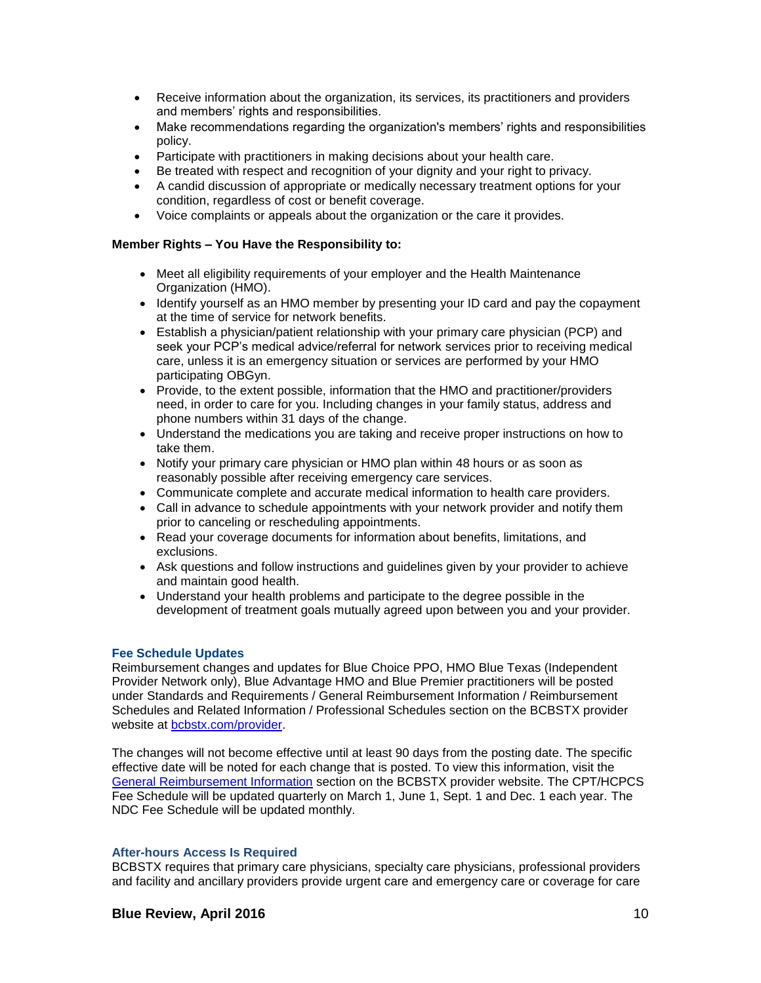- Receive information about the organization, its services, its practitioners and providers and members' rights and responsibilities.
- Make recommendations regarding the organization's members' rights and responsibilities policy.
- Participate with practitioners in making decisions about your health care.
- Be treated with respect and recognition of your dignity and your right to privacy.
- A candid discussion of appropriate or medically necessary treatment options for your condition, regardless of cost or benefit coverage.
- Voice complaints or appeals about the organization or the care it provides.

## **Member Rights – You Have the Responsibility to:**

- Meet all eligibility requirements of your employer and the Health Maintenance Organization (HMO).
- Identify yourself as an HMO member by presenting your ID card and pay the copayment at the time of service for network benefits.
- Establish a physician/patient relationship with your primary care physician (PCP) and seek your PCP's medical advice/referral for network services prior to receiving medical care, unless it is an emergency situation or services are performed by your HMO participating OBGyn.
- Provide, to the extent possible, information that the HMO and practitioner/providers need, in order to care for you. Including changes in your family status, address and phone numbers within 31 days of the change.
- Understand the medications you are taking and receive proper instructions on how to take them.
- Notify your primary care physician or HMO plan within 48 hours or as soon as reasonably possible after receiving emergency care services.
- Communicate complete and accurate medical information to health care providers.
- Call in advance to schedule appointments with your network provider and notify them prior to canceling or rescheduling appointments.
- Read your coverage documents for information about benefits, limitations, and exclusions.
- Ask questions and follow instructions and guidelines given by your provider to achieve and maintain good health.
- Understand your health problems and participate to the degree possible in the development of treatment goals mutually agreed upon between you and your provider.

## **Fee Schedule Updates**

Reimbursement changes and updates for Blue Choice PPO, HMO Blue Texas (Independent Provider Network only), Blue Advantage HMO and Blue Premier practitioners will be posted under Standards and Requirements / General Reimbursement Information / Reimbursement Schedules and Related Information / Professional Schedules section on the BCBSTX provider website at [bcbstx.com/provider.](http://www.bcbstx.com/provider/) 

The changes will not become effective until at least 90 days from the posting date. The specific effective date will be noted for each change that is posted. To view this information, visit the [General Reimbursement Information](http://www.bcbstx.com/provider/gri/index.html) section on the BCBSTX provider website. The CPT/HCPCS Fee Schedule will be updated quarterly on March 1, June 1, Sept. 1 and Dec. 1 each year. The NDC Fee Schedule will be updated monthly.

## **After-hours Access Is Required**

BCBSTX requires that primary care physicians, specialty care physicians, professional providers and facility and ancillary providers provide urgent care and emergency care or coverage for care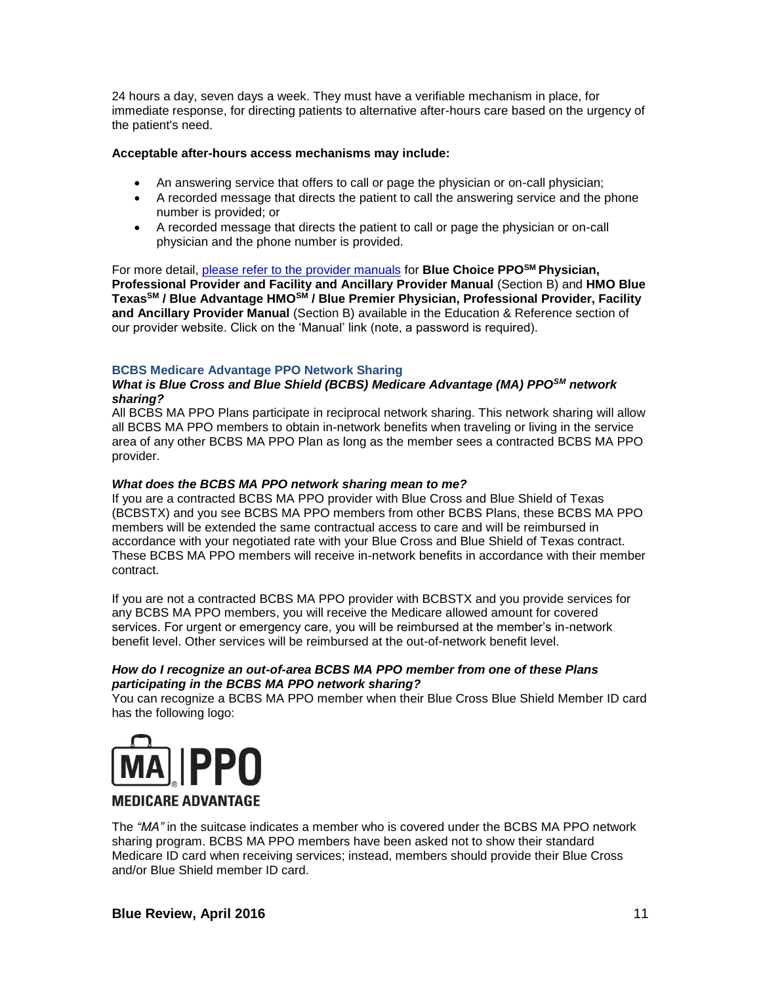24 hours a day, seven days a week. They must have a verifiable mechanism in place, for immediate response, for directing patients to alternative after-hours care based on the urgency of the patient's need.

## **Acceptable after-hours access mechanisms may include:**

- An answering service that offers to call or page the physician or on-call physician;
- A recorded message that directs the patient to call the answering service and the phone number is provided; or
- A recorded message that directs the patient to call or page the physician or on-call physician and the phone number is provided.

For more detail, [please refer to the provider manuals](http://www.bcbstx.com/provider/gri/index.html) for **Blue Choice PPOSM Physician, Professional Provider and Facility and Ancillary Provider Manual** (Section B) and **HMO Blue TexasSM / Blue Advantage HMOSM / Blue Premier Physician, Professional Provider, Facility and Ancillary Provider Manual** (Section B) available in the Education & Reference section of our provider website. Click on the 'Manual' link (note, a password is required).

# **BCBS Medicare Advantage PPO Network Sharing**

#### *What is Blue Cross and Blue Shield (BCBS) Medicare Advantage (MA) PPOSM network sharing?*

All BCBS MA PPO Plans participate in reciprocal network sharing. This network sharing will allow all BCBS MA PPO members to obtain in-network benefits when traveling or living in the service area of any other BCBS MA PPO Plan as long as the member sees a contracted BCBS MA PPO provider.

## *What does the BCBS MA PPO network sharing mean to me?*

If you are a contracted BCBS MA PPO provider with Blue Cross and Blue Shield of Texas (BCBSTX) and you see BCBS MA PPO members from other BCBS Plans, these BCBS MA PPO members will be extended the same contractual access to care and will be reimbursed in accordance with your negotiated rate with your Blue Cross and Blue Shield of Texas contract. These BCBS MA PPO members will receive in-network benefits in accordance with their member contract.

If you are not a contracted BCBS MA PPO provider with BCBSTX and you provide services for any BCBS MA PPO members, you will receive the Medicare allowed amount for covered services. For urgent or emergency care, you will be reimbursed at the member's in-network benefit level. Other services will be reimbursed at the out-of-network benefit level.

## *How do I recognize an out-of-area BCBS MA PPO member from one of these Plans participating in the BCBS MA PPO network sharing?*

You can recognize a BCBS MA PPO member when their Blue Cross Blue Shield Member ID card has the following logo:



# **MEDICARE ADVANTAGE**

The *"MA"* in the suitcase indicates a member who is covered under the BCBS MA PPO network sharing program. BCBS MA PPO members have been asked not to show their standard Medicare ID card when receiving services; instead, members should provide their Blue Cross and/or Blue Shield member ID card.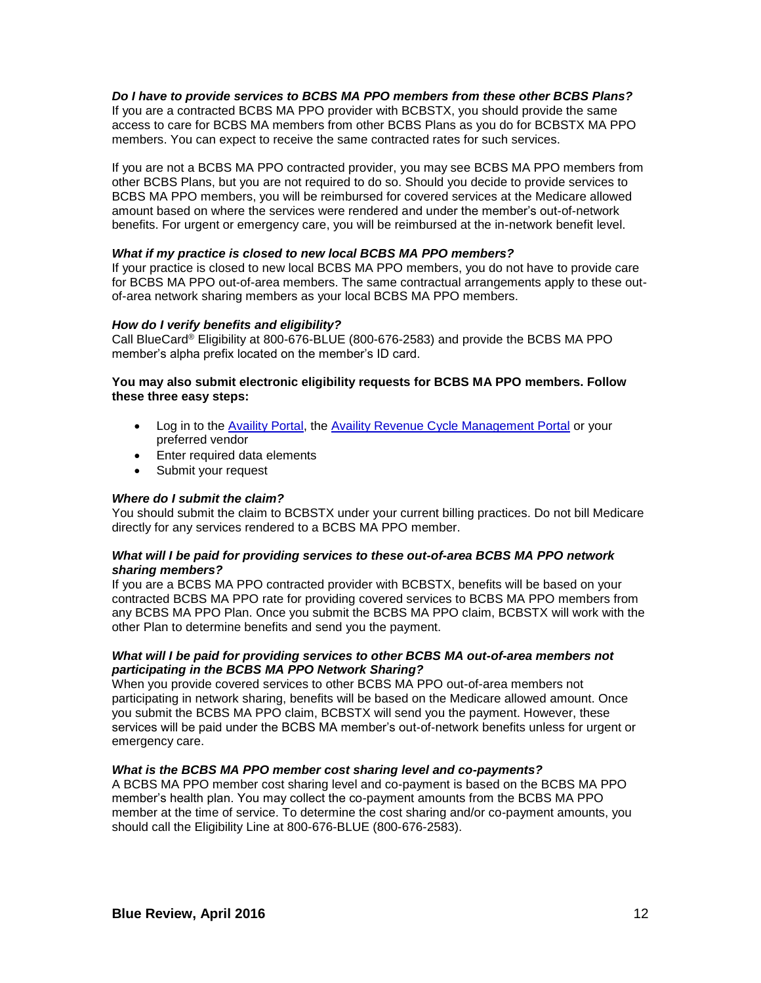## *Do I have to provide services to BCBS MA PPO members from these other BCBS Plans?*

If you are a contracted BCBS MA PPO provider with BCBSTX, you should provide the same access to care for BCBS MA members from other BCBS Plans as you do for BCBSTX MA PPO members. You can expect to receive the same contracted rates for such services.

If you are not a BCBS MA PPO contracted provider, you may see BCBS MA PPO members from other BCBS Plans, but you are not required to do so. Should you decide to provide services to BCBS MA PPO members, you will be reimbursed for covered services at the Medicare allowed amount based on where the services were rendered and under the member's out-of-network benefits. For urgent or emergency care, you will be reimbursed at the in-network benefit level.

## *What if my practice is closed to new local BCBS MA PPO members?*

If your practice is closed to new local BCBS MA PPO members, you do not have to provide care for BCBS MA PPO out-of-area members. The same contractual arrangements apply to these outof-area network sharing members as your local BCBS MA PPO members.

#### *How do I verify benefits and eligibility?*

Call BlueCard® Eligibility at 800-676-BLUE (800-676-2583) and provide the BCBS MA PPO member's alpha prefix located on the member's ID card.

## **You may also submit electronic eligibility requests for BCBS MA PPO members. Follow these three easy steps:**

- Log in to the [Availity Portal,](http://www.availity.com/) the [Availity Revenue Cycle Management Portal](https://claims.realmed.com/) or your preferred vendor
- Enter required data elements
- Submit your request

#### *Where do I submit the claim?*

You should submit the claim to BCBSTX under your current billing practices. Do not bill Medicare directly for any services rendered to a BCBS MA PPO member.

#### *What will I be paid for providing services to these out-of-area BCBS MA PPO network sharing members?*

If you are a BCBS MA PPO contracted provider with BCBSTX, benefits will be based on your contracted BCBS MA PPO rate for providing covered services to BCBS MA PPO members from any BCBS MA PPO Plan. Once you submit the BCBS MA PPO claim, BCBSTX will work with the other Plan to determine benefits and send you the payment.

#### *What will I be paid for providing services to other BCBS MA out-of-area members not participating in the BCBS MA PPO Network Sharing?*

When you provide covered services to other BCBS MA PPO out-of-area members not participating in network sharing, benefits will be based on the Medicare allowed amount. Once you submit the BCBS MA PPO claim, BCBSTX will send you the payment. However, these services will be paid under the BCBS MA member's out-of-network benefits unless for urgent or emergency care.

## *What is the BCBS MA PPO member cost sharing level and co-payments?*

A BCBS MA PPO member cost sharing level and co-payment is based on the BCBS MA PPO member's health plan. You may collect the co-payment amounts from the BCBS MA PPO member at the time of service. To determine the cost sharing and/or co-payment amounts, you should call the Eligibility Line at 800-676-BLUE (800-676-2583).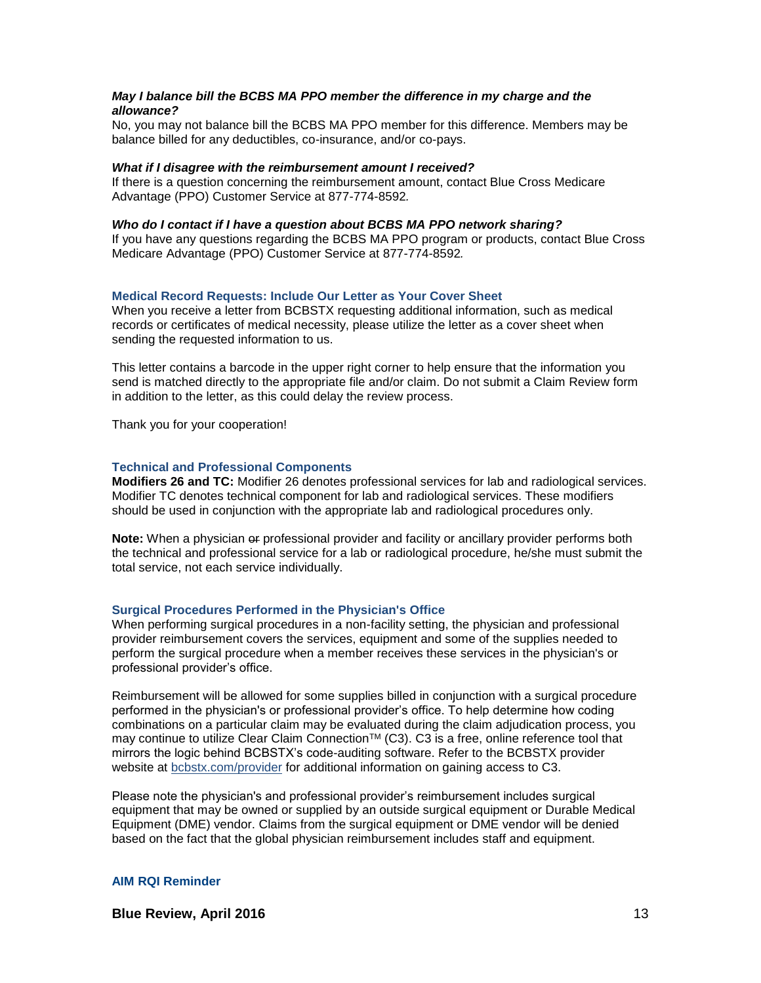## *May I balance bill the BCBS MA PPO member the difference in my charge and the allowance?*

No, you may not balance bill the BCBS MA PPO member for this difference. Members may be balance billed for any deductibles, co-insurance, and/or co-pays.

#### *What if I disagree with the reimbursement amount I received?*

If there is a question concerning the reimbursement amount, contact Blue Cross Medicare Advantage (PPO) Customer Service at 877-774-8592*.*

#### *Who do I contact if I have a question about BCBS MA PPO network sharing?*

If you have any questions regarding the BCBS MA PPO program or products, contact Blue Cross Medicare Advantage (PPO) Customer Service at 877-774-8592*.*

#### **Medical Record Requests: Include Our Letter as Your Cover Sheet**

When you receive a letter from BCBSTX requesting additional information, such as medical records or certificates of medical necessity, please utilize the letter as a cover sheet when sending the requested information to us.

This letter contains a barcode in the upper right corner to help ensure that the information you send is matched directly to the appropriate file and/or claim. Do not submit a Claim Review form in addition to the letter, as this could delay the review process.

Thank you for your cooperation!

#### **Technical and Professional Components**

**Modifiers 26 and TC:** Modifier 26 denotes professional services for lab and radiological services. Modifier TC denotes technical component for lab and radiological services. These modifiers should be used in conjunction with the appropriate lab and radiological procedures only.

Note: When a physician er professional provider and facility or ancillary provider performs both the technical and professional service for a lab or radiological procedure, he/she must submit the total service, not each service individually.

#### **Surgical Procedures Performed in the Physician's Office**

When performing surgical procedures in a non-facility setting, the physician and professional provider reimbursement covers the services, equipment and some of the supplies needed to perform the surgical procedure when a member receives these services in the physician's or professional provider's office.

Reimbursement will be allowed for some supplies billed in conjunction with a surgical procedure performed in the physician's or professional provider's office. To help determine how coding combinations on a particular claim may be evaluated during the claim adjudication process, you may continue to utilize Clear Claim Connection™ (C3). C3 is a free, online reference tool that mirrors the logic behind BCBSTX's code-auditing software. Refer to the BCBSTX provider website at [bcbstx.com/provider](https://www.bcbstx.com/provider/index.html) for additional information on gaining access to [C3.](https://www.bcbstx.com/provider/tools/clear_claim_connection.html)

Please note the physician's and professional provider's reimbursement includes surgical equipment that may be owned or supplied by an outside surgical equipment or Durable Medical Equipment (DME) vendor. Claims from the surgical equipment or DME vendor will be denied based on the fact that the global physician reimbursement includes staff and equipment.

#### **AIM RQI Reminder**

**Blue Review, April 2016** 13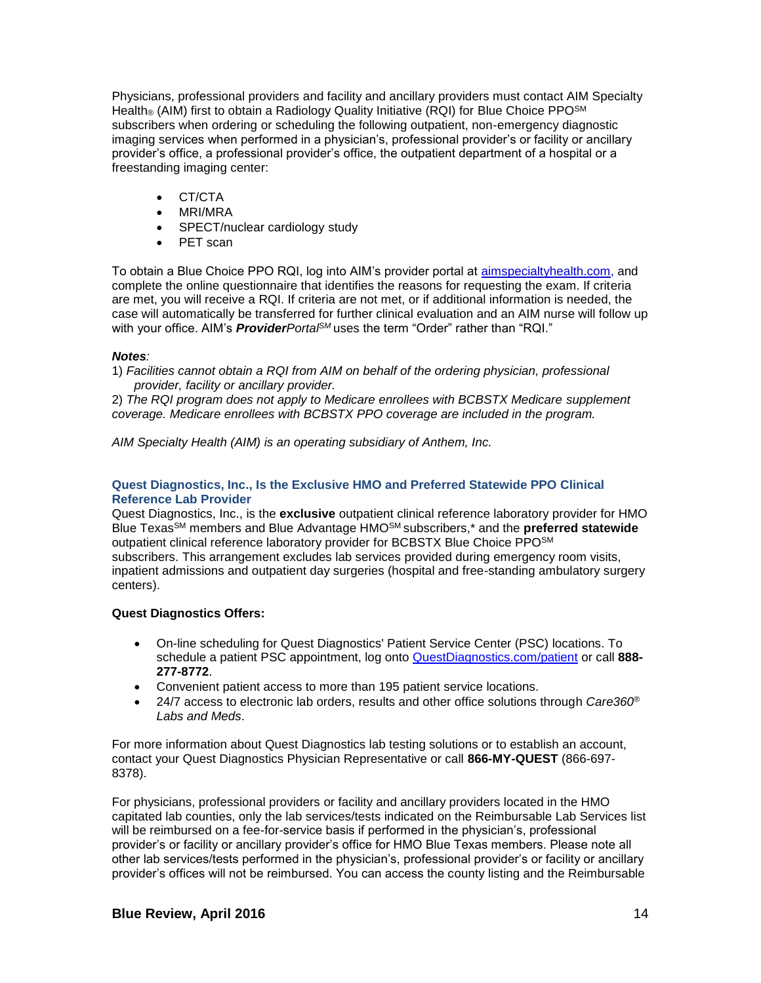Physicians, professional providers and facility and ancillary providers must contact AIM Specialty Health® (AIM) first to obtain a Radiology Quality Initiative (RQI) for Blue Choice PPO<sup>SM</sup> subscribers when ordering or scheduling the following outpatient, non-emergency diagnostic imaging services when performed in a physician's, professional provider's or facility or ancillary provider's office, a professional provider's office, the outpatient department of a hospital or a freestanding imaging center:

- CT/CTA
- MRI/MRA
- SPECT/nuclear cardiology study
- PET scan

To obtain a Blue Choice PPO RQI, log into AIM's provider portal at [aimspecialtyhealth.com,](http://www.aimspecialtyhealth.com/) and complete the online questionnaire that identifies the reasons for requesting the exam. If criteria are met, you will receive a RQI. If criteria are not met, or if additional information is needed, the case will automatically be transferred for further clinical evaluation and an AIM nurse will follow up with your office. AIM's *ProviderPortalSM* uses the term "Order" rather than "RQI."

## *Notes:*

1) *Facilities cannot obtain a RQI from AIM on behalf of the ordering physician, professional provider, facility or ancillary provider.*

2) *The RQI program does not apply to Medicare enrollees with BCBSTX Medicare supplement coverage. Medicare enrollees with BCBSTX PPO coverage are included in the program.*

*AIM Specialty Health (AIM) is an operating subsidiary of Anthem, Inc.*

## **Quest Diagnostics, Inc., Is the Exclusive HMO and Preferred Statewide PPO Clinical Reference Lab Provider**

Quest Diagnostics, Inc., is the **exclusive** outpatient clinical reference laboratory provider for HMO Blue TexasSM members and Blue Advantage HMOSM subscribers,\* and the **preferred statewide** outpatient clinical reference laboratory provider for BCBSTX Blue Choice PPOSM subscribers. This arrangement excludes lab services provided during emergency room visits, inpatient admissions and outpatient day surgeries (hospital and free-standing ambulatory surgery centers).

# **Quest Diagnostics Offers:**

- On-line scheduling for Quest Diagnostics' Patient Service Center (PSC) locations. To schedule a patient PSC appointment, log onto [QuestDiagnostics.com/patient](http://www.questdiagnostics.com/home/patients) or call **888- 277-8772**.
- Convenient patient access to more than 195 patient service locations.
- 24/7 access to electronic lab orders, results and other office solutions through *Care360® Labs and Meds*.

For more information about Quest Diagnostics lab testing solutions or to establish an account, contact your Quest Diagnostics Physician Representative or call **866-MY-QUEST** (866-697- 8378).

For physicians, professional providers or facility and ancillary providers located in the HMO capitated lab counties, only the lab services/tests indicated on the Reimbursable Lab Services list will be reimbursed on a fee-for-service basis if performed in the physician's, professional provider's or facility or ancillary provider's office for HMO Blue Texas members. Please note all other lab services/tests performed in the physician's, professional provider's or facility or ancillary provider's offices will not be reimbursed. You can access the county listing and the Reimbursable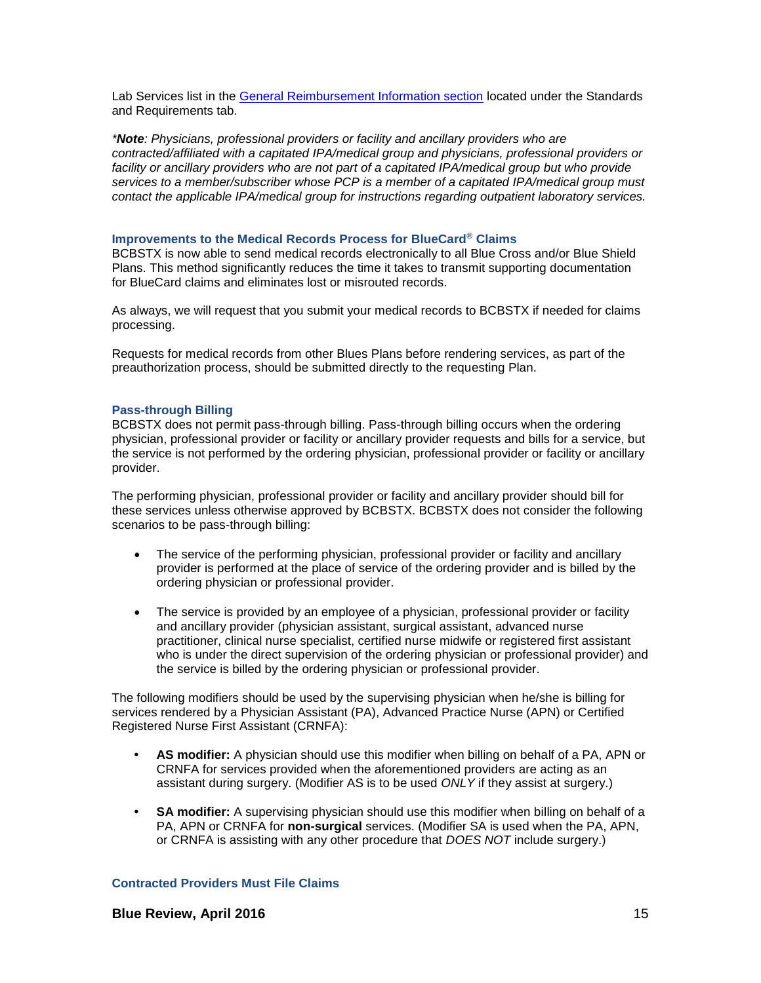Lab Services list in the [General Reimbursement Information section](http://www.bcbstx.com/provider/gri/index.html) located under the Standards and Requirements tab.

*\*Note: Physicians, professional providers or facility and ancillary providers who are contracted/affiliated with a capitated IPA/medical group and physicians, professional providers or*  facility or ancillary providers who are not part of a capitated IPA/medical group but who provide *services to a member/subscriber whose PCP is a member of a capitated IPA/medical group must contact the applicable IPA/medical group for instructions regarding outpatient laboratory services.*

#### **Improvements to the Medical Records Process for BlueCard® Claims**

BCBSTX is now able to send medical records electronically to all Blue Cross and/or Blue Shield Plans. This method significantly reduces the time it takes to transmit supporting documentation for BlueCard claims and eliminates lost or misrouted records.

As always, we will request that you submit your medical records to BCBSTX if needed for claims processing.

Requests for medical records from other Blues Plans before rendering services, as part of the preauthorization process, should be submitted directly to the requesting Plan.

#### **Pass-through Billing**

BCBSTX does not permit pass-through billing. Pass-through billing occurs when the ordering physician, professional provider or facility or ancillary provider requests and bills for a service, but the service is not performed by the ordering physician, professional provider or facility or ancillary provider.

The performing physician, professional provider or facility and ancillary provider should bill for these services unless otherwise approved by BCBSTX. BCBSTX does not consider the following scenarios to be pass-through billing:

- The service of the performing physician, professional provider or facility and ancillary provider is performed at the place of service of the ordering provider and is billed by the ordering physician or professional provider.
- The service is provided by an employee of a physician, professional provider or facility and ancillary provider (physician assistant, surgical assistant, advanced nurse practitioner, clinical nurse specialist, certified nurse midwife or registered first assistant who is under the direct supervision of the ordering physician or professional provider) and the service is billed by the ordering physician or professional provider.

The following modifiers should be used by the supervising physician when he/she is billing for services rendered by a Physician Assistant (PA), Advanced Practice Nurse (APN) or Certified Registered Nurse First Assistant (CRNFA):

- **• AS modifier:** A physician should use this modifier when billing on behalf of a PA, APN or CRNFA for services provided when the aforementioned providers are acting as an assistant during surgery. (Modifier AS is to be used *ONLY* if they assist at surgery.)
- **• SA modifier:** A supervising physician should use this modifier when billing on behalf of a PA, APN or CRNFA for **non-surgical** services. (Modifier SA is used when the PA, APN, or CRNFA is assisting with any other procedure that *DOES NOT* include surgery.)

## **Contracted Providers Must File Claims**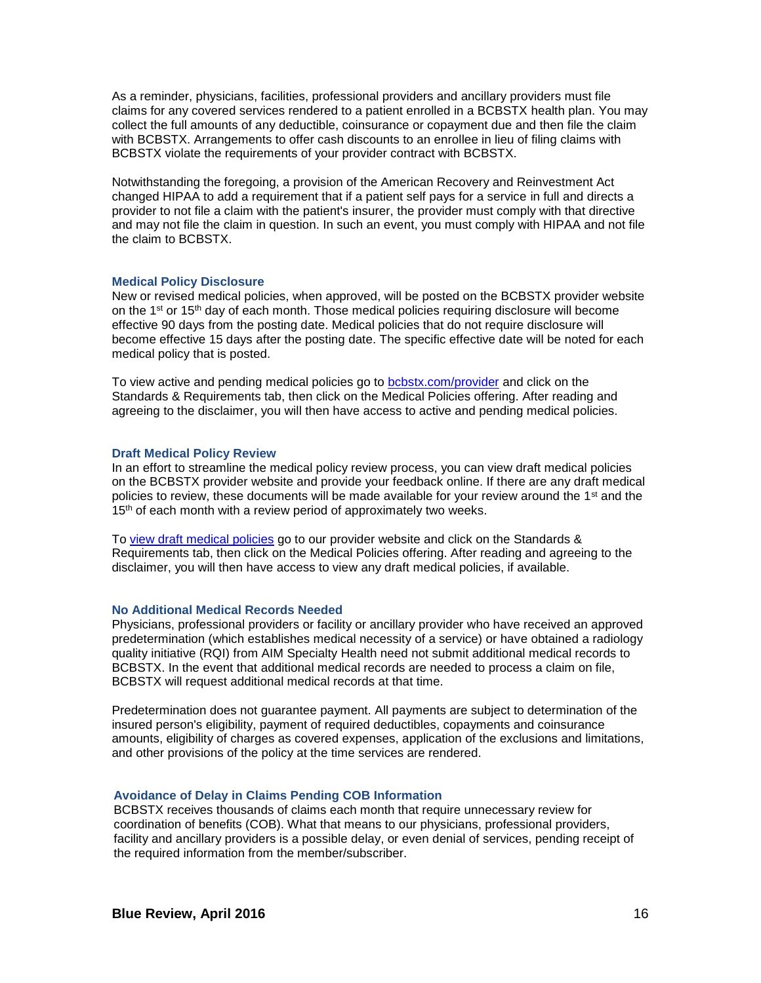As a reminder, physicians, facilities, professional providers and ancillary providers must file claims for any covered services rendered to a patient enrolled in a BCBSTX health plan. You may collect the full amounts of any deductible, coinsurance or copayment due and then file the claim with BCBSTX. Arrangements to offer cash discounts to an enrollee in lieu of filing claims with BCBSTX violate the requirements of your provider contract with BCBSTX.

Notwithstanding the foregoing, a provision of the American Recovery and Reinvestment Act changed HIPAA to add a requirement that if a patient self pays for a service in full and directs a provider to not file a claim with the patient's insurer, the provider must comply with that directive and may not file the claim in question. In such an event, you must comply with HIPAA and not file the claim to BCBSTX.

#### **Medical Policy Disclosure**

New or revised medical policies, when approved, will be posted on the BCBSTX provider website on the  $1^{st}$  or  $15^{th}$  day of each month. Those medical policies requiring disclosure will become effective 90 days from the posting date. Medical policies that do not require disclosure will become effective 15 days after the posting date. The specific effective date will be noted for each medical policy that is posted.

To view active and pending medical policies go to **bcbstx.com/provider** and click on the Standards & Requirements tab, then click on the Medical Policies offering. After reading and agreeing to the disclaimer, you will then have access to active and pending medical policies.

#### **Draft Medical Policy Review**

In an effort to streamline the medical policy review process, you can view draft medical policies on the BCBSTX provider website and provide your feedback online. If there are any draft medical policies to review, these documents will be made available for your review around the  $1<sup>st</sup>$  and the 15<sup>th</sup> of each month with a review period of approximately two weeks.

To [view draft medical policies](http://www.medicalpolicy.hcsc.net/medicalpolicy/disclaimer?corpEntCd=TX1) go to our provider website and click on the Standards & Requirements tab, then click on the Medical Policies offering. After reading and agreeing to the disclaimer, you will then have access to view any draft medical policies, if available.

## **No Additional Medical Records Needed**

Physicians, professional providers or facility or ancillary provider who have received an approved predetermination (which establishes medical necessity of a service) or have obtained a radiology quality initiative (RQI) from AIM Specialty Health need not submit additional medical records to BCBSTX. In the event that additional medical records are needed to process a claim on file, BCBSTX will request additional medical records at that time.

Predetermination does not guarantee payment. All payments are subject to determination of the insured person's eligibility, payment of required deductibles, copayments and coinsurance amounts, eligibility of charges as covered expenses, application of the exclusions and limitations, and other provisions of the policy at the time services are rendered.

## **Avoidance of Delay in Claims Pending COB Information**

BCBSTX receives thousands of claims each month that require unnecessary review for coordination of benefits (COB). What that means to our physicians, professional providers, facility and ancillary providers is a possible delay, or even denial of services, pending receipt of the required information from the member/subscriber.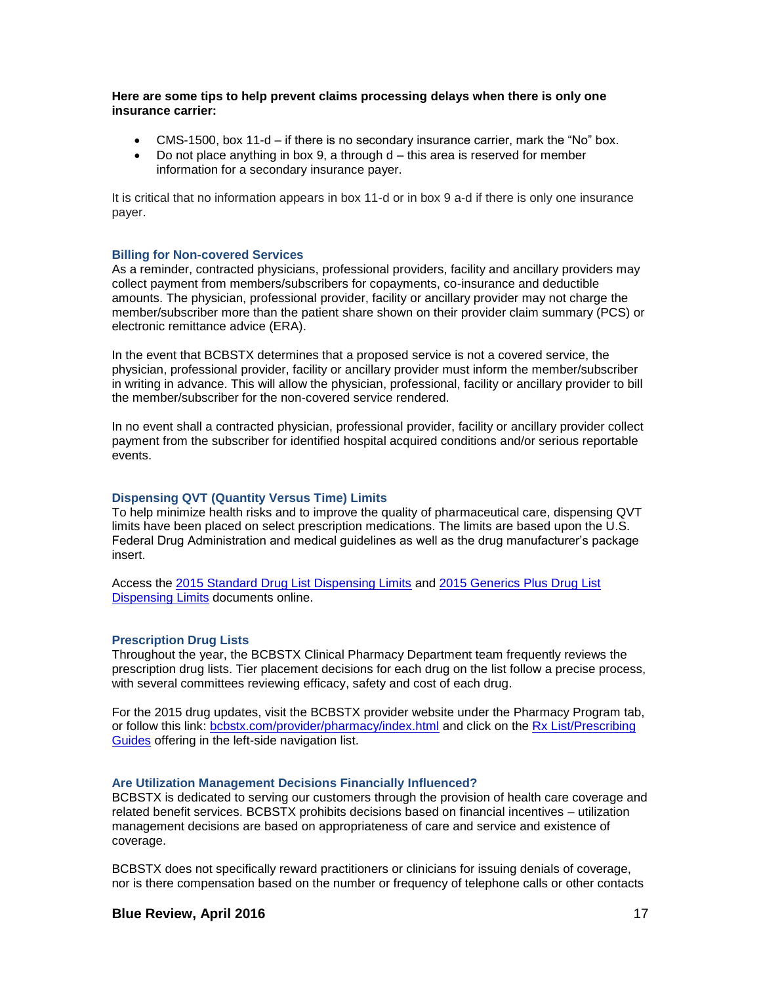**Here are some tips to help prevent claims processing delays when there is only one insurance carrier:**

- CMS-1500, box 11-d if there is no secondary insurance carrier, mark the "No" box.
- $\bullet$  Do not place anything in box 9, a through  $d th$  is area is reserved for member information for a secondary insurance payer.

It is critical that no information appears in box 11-d or in box 9 a-d if there is only one insurance payer.

#### **Billing for Non-covered Services**

As a reminder, contracted physicians, professional providers, facility and ancillary providers may collect payment from members/subscribers for copayments, co-insurance and deductible amounts. The physician, professional provider, facility or ancillary provider may not charge the member/subscriber more than the patient share shown on their provider claim summary (PCS) or electronic remittance advice (ERA).

In the event that BCBSTX determines that a proposed service is not a covered service, the physician, professional provider, facility or ancillary provider must inform the member/subscriber in writing in advance. This will allow the physician, professional, facility or ancillary provider to bill the member/subscriber for the non-covered service rendered.

In no event shall a contracted physician, professional provider, facility or ancillary provider collect payment from the subscriber for identified hospital acquired conditions and/or serious reportable events.

#### **Dispensing QVT (Quantity Versus Time) Limits**

To help minimize health risks and to improve the quality of pharmaceutical care, dispensing QVT limits have been placed on select prescription medications. The limits are based upon the U.S. Federal Drug Administration and medical guidelines as well as the drug manufacturer's package insert.

Access the [2015 Standard Drug List Dispensing Limits](http://www.bcbstx.com/pdf/rx/rx_dispensing_limits_std_tx.pdf) and [2015 Generics Plus Drug List](http://www.bcbstx.com/pdf/rx/rx_dispensing_limits_gen_tx.pdf)  [Dispensing Limits](http://www.bcbstx.com/pdf/rx/rx_dispensing_limits_gen_tx.pdf) documents online.

#### **Prescription Drug Lists**

Throughout the year, the BCBSTX Clinical Pharmacy Department team frequently reviews the prescription drug lists. Tier placement decisions for each drug on the list follow a precise process, with several committees reviewing efficacy, safety and cost of each drug.

For the 2015 drug updates, visit the BCBSTX provider website under the Pharmacy Program tab, or follow this link: [bcbstx.com/provider/pharmacy/index.html](http://www.bcbstx.com/provider/pharmacy/index.html) and click on the [Rx List/Prescribing](http://www.bcbstx.com/provider/pharmacy/rx_list.html)  [Guides](http://www.bcbstx.com/provider/pharmacy/rx_list.html) offering in the left-side navigation list.

#### **Are Utilization Management Decisions Financially Influenced?**

BCBSTX is dedicated to serving our customers through the provision of health care coverage and related benefit services. BCBSTX prohibits decisions based on financial incentives – utilization management decisions are based on appropriateness of care and service and existence of coverage.

BCBSTX does not specifically reward practitioners or clinicians for issuing denials of coverage, nor is there compensation based on the number or frequency of telephone calls or other contacts